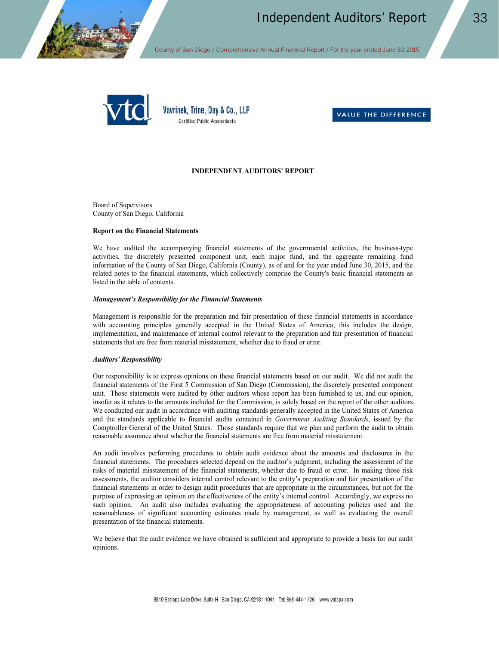

# **Management Auditors' Report**

County of San Diego **/** Comprehensive Annual Financial Report **/** For the year ended June 30, 2015



Vavrinek, Trine, Day & Co., LLP **Certified Public Accountants** 



## **INDEPENDENT AUDITORS' REPORT**

Board of Supervisors County of San Diego, California

#### **Report on the Financial Statements**

We have audited the accompanying financial statements of the governmental activities, the business-type activities, the discretely presented component unit, each major fund, and the aggregate remaining fund information of the County of San Diego, California (County), as of and for the year ended June 30, 2015, and the related notes to the financial statements, which collectively comprise the County's basic financial statements as listed in the table of contents.

## *Management's Responsibility for the Financial Statements*

Management is responsible for the preparation and fair presentation of these financial statements in accordance with accounting principles generally accepted in the United States of America; this includes the design, implementation, and maintenance of internal control relevant to the preparation and fair presentation of financial statements that are free from material misstatement, whether due to fraud or error.

#### *Auditors' Responsibility*

Our responsibility is to express opinions on these financial statements based on our audit. We did not audit the financial statements of the First 5 Commission of San Diego (Commission), the discretely presented component unit. Those statements were audited by other auditors whose report has been furnished to us, and our opinion, insofar as it relates to the amounts included for the Commission, is solely based on the report of the other auditors. We conducted our audit in accordance with auditing standards generally accepted in the United States of America and the standards applicable to financial audits contained in *Government Auditing Standards*, issued by the Comptroller General of the United States. Those standards require that we plan and perform the audit to obtain reasonable assurance about whether the financial statements are free from material misstatement.

An audit involves performing procedures to obtain audit evidence about the amounts and disclosures in the financial statements. The procedures selected depend on the auditor's judgment, including the assessment of the risks of material misstatement of the financial statements, whether due to fraud or error. In making those risk assessments, the auditor considers internal control relevant to the entity's preparation and fair presentation of the financial statements in order to design audit procedures that are appropriate in the circumstances, but not for the purpose of expressing an opinion on the effectiveness of the entity's internal control. Accordingly, we express no such opinion. An audit also includes evaluating the appropriateness of accounting policies used and the reasonableness of significant accounting estimates made by management, as well as evaluating the overall presentation of the financial statements.

We believe that the audit evidence we have obtained is sufficient and appropriate to provide a basis for our audit opinions.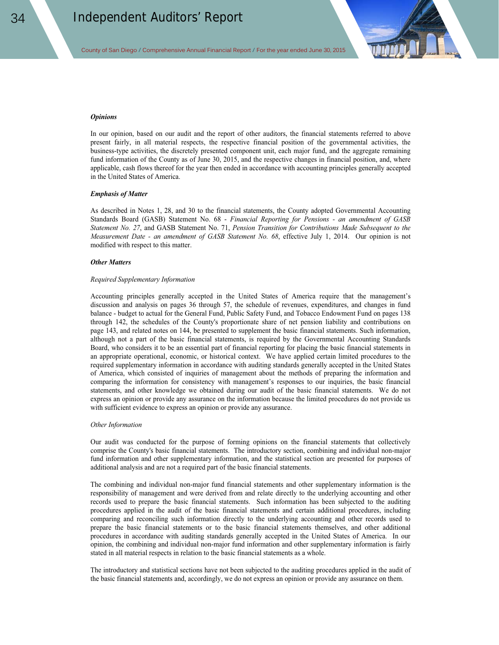County of San Diego **/** Comprehensive Annual Financial Report **/** For the year ended June 30, 2015



#### *Opinions*

In our opinion, based on our audit and the report of other auditors, the financial statements referred to above present fairly, in all material respects, the respective financial position of the governmental activities, the business-type activities, the discretely presented component unit, each major fund, and the aggregate remaining fund information of the County as of June 30, 2015, and the respective changes in financial position, and, where applicable, cash flows thereof for the year then ended in accordance with accounting principles generally accepted in the United States of America.

#### *Emphasis of Matter*

As described in Notes 1, 28, and 30 to the financial statements, the County adopted Governmental Accounting Standards Board (GASB) Statement No. 68 - *Financial Reporting for Pensions - an amendment of GASB Statement No. 27*, and GASB Statement No. 71, *Pension Transition for Contributions Made Subsequent to the Measurement Date - an amendment of GASB Statement No. 68*, effective July 1, 2014. Our opinion is not modified with respect to this matter.

#### *Other Matters*

#### *Required Supplementary Information*

Accounting principles generally accepted in the United States of America require that the management's discussion and analysis on pages 36 through 57, the schedule of revenues, expenditures, and changes in fund balance - budget to actual for the General Fund, Public Safety Fund, and Tobacco Endowment Fund on pages 138 through 142, the schedules of the County's proportionate share of net pension liability and contributions on page 143, and related notes on 144, be presented to supplement the basic financial statements. Such information, although not a part of the basic financial statements, is required by the Governmental Accounting Standards Board, who considers it to be an essential part of financial reporting for placing the basic financial statements in an appropriate operational, economic, or historical context. We have applied certain limited procedures to the required supplementary information in accordance with auditing standards generally accepted in the United States of America, which consisted of inquiries of management about the methods of preparing the information and comparing the information for consistency with management's responses to our inquiries, the basic financial statements, and other knowledge we obtained during our audit of the basic financial statements. We do not express an opinion or provide any assurance on the information because the limited procedures do not provide us with sufficient evidence to express an opinion or provide any assurance.

#### *Other Information*

Our audit was conducted for the purpose of forming opinions on the financial statements that collectively comprise the County's basic financial statements. The introductory section, combining and individual non-major fund information and other supplementary information, and the statistical section are presented for purposes of additional analysis and are not a required part of the basic financial statements.

The combining and individual non-major fund financial statements and other supplementary information is the responsibility of management and were derived from and relate directly to the underlying accounting and other records used to prepare the basic financial statements. Such information has been subjected to the auditing procedures applied in the audit of the basic financial statements and certain additional procedures, including comparing and reconciling such information directly to the underlying accounting and other records used to prepare the basic financial statements or to the basic financial statements themselves, and other additional procedures in accordance with auditing standards generally accepted in the United States of America. In our opinion, the combining and individual non-major fund information and other supplementary information is fairly stated in all material respects in relation to the basic financial statements as a whole.

The introductory and statistical sections have not been subjected to the auditing procedures applied in the audit of the basic financial statements and, accordingly, we do not express an opinion or provide any assurance on them.